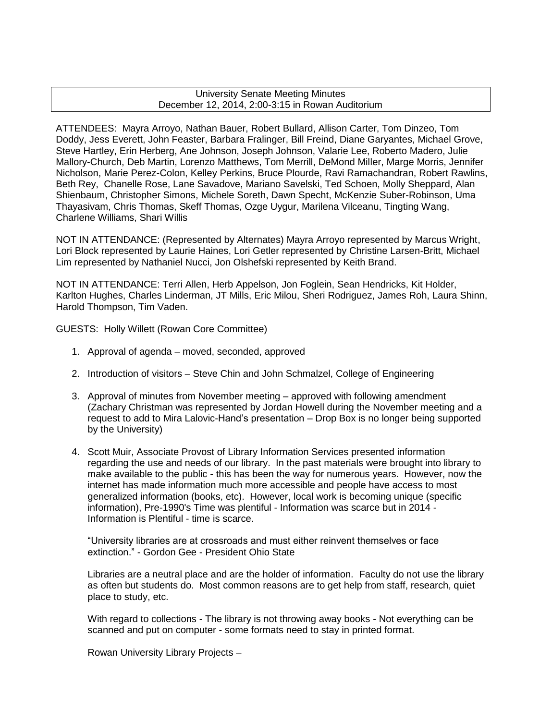## University Senate Meeting Minutes December 12, 2014, 2:00-3:15 in Rowan Auditorium

ATTENDEES: Mayra Arroyo, Nathan Bauer, Robert Bullard, Allison Carter, Tom Dinzeo, Tom Doddy, Jess Everett, John Feaster, Barbara Fralinger, Bill Freind, Diane Garyantes, Michael Grove, Steve Hartley, Erin Herberg, Ane Johnson, Joseph Johnson, Valarie Lee, Roberto Madero, Julie Mallory-Church, Deb Martin, Lorenzo Matthews, Tom Merrill, DeMond Miller, Marge Morris, Jennifer Nicholson, Marie Perez-Colon, Kelley Perkins, Bruce Plourde, Ravi Ramachandran, Robert Rawlins, Beth Rey, Chanelle Rose, Lane Savadove, Mariano Savelski, Ted Schoen, Molly Sheppard, Alan Shienbaum, Christopher Simons, Michele Soreth, Dawn Specht, McKenzie Suber-Robinson, Uma Thayasivam, Chris Thomas, Skeff Thomas, Ozge Uygur, Marilena Vilceanu, Tingting Wang, Charlene Williams, Shari Willis

NOT IN ATTENDANCE: (Represented by Alternates) Mayra Arroyo represented by Marcus Wright, Lori Block represented by Laurie Haines, Lori Getler represented by Christine Larsen-Britt, Michael Lim represented by Nathaniel Nucci, Jon Olshefski represented by Keith Brand.

NOT IN ATTENDANCE: Terri Allen, Herb Appelson, Jon Foglein, Sean Hendricks, Kit Holder, Karlton Hughes, Charles Linderman, JT Mills, Eric Milou, Sheri Rodriguez, James Roh, Laura Shinn, Harold Thompson, Tim Vaden.

GUESTS: Holly Willett (Rowan Core Committee)

- 1. Approval of agenda moved, seconded, approved
- 2. Introduction of visitors Steve Chin and John Schmalzel, College of Engineering
- 3. Approval of minutes from November meeting approved with following amendment (Zachary Christman was represented by Jordan Howell during the November meeting and a request to add to Mira Lalovic-Hand's presentation – Drop Box is no longer being supported by the University)
- 4. Scott Muir, Associate Provost of Library Information Services presented information regarding the use and needs of our library. In the past materials were brought into library to make available to the public - this has been the way for numerous years. However, now the internet has made information much more accessible and people have access to most generalized information (books, etc). However, local work is becoming unique (specific information), Pre-1990's Time was plentiful - Information was scarce but in 2014 - Information is Plentiful - time is scarce.

"University libraries are at crossroads and must either reinvent themselves or face extinction." - Gordon Gee - President Ohio State

Libraries are a neutral place and are the holder of information. Faculty do not use the library as often but students do. Most common reasons are to get help from staff, research, quiet place to study, etc.

With regard to collections - The library is not throwing away books - Not everything can be scanned and put on computer - some formats need to stay in printed format.

Rowan University Library Projects –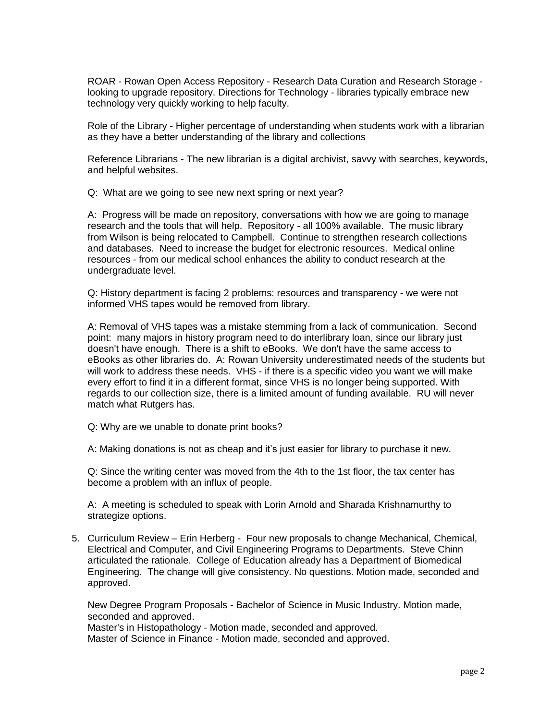ROAR - Rowan Open Access Repository - Research Data Curation and Research Storage looking to upgrade repository. Directions for Technology - libraries typically embrace new technology very quickly working to help faculty.

Role of the Library - Higher percentage of understanding when students work with a librarian as they have a better understanding of the library and collections

Reference Librarians - The new librarian is a digital archivist, savvy with searches, keywords, and helpful websites.

Q: What are we going to see new next spring or next year?

A: Progress will be made on repository, conversations with how we are going to manage research and the tools that will help. Repository - all 100% available. The music library from Wilson is being relocated to Campbell. Continue to strengthen research collections and databases. Need to increase the budget for electronic resources. Medical online resources - from our medical school enhances the ability to conduct research at the undergraduate level.

Q: History department is facing 2 problems: resources and transparency - we were not informed VHS tapes would be removed from library.

A: Removal of VHS tapes was a mistake stemming from a lack of communication. Second point: many majors in history program need to do interlibrary loan, since our library just doesn't have enough. There is a shift to eBooks. We don't have the same access to eBooks as other libraries do. A: Rowan University underestimated needs of the students but will work to address these needs. VHS - if there is a specific video you want we will make every effort to find it in a different format, since VHS is no longer being supported. With regards to our collection size, there is a limited amount of funding available. RU will never match what Rutgers has.

Q: Why are we unable to donate print books?

A: Making donations is not as cheap and it's just easier for library to purchase it new.

Q: Since the writing center was moved from the 4th to the 1st floor, the tax center has become a problem with an influx of people.

A: A meeting is scheduled to speak with Lorin Arnold and Sharada Krishnamurthy to strategize options.

5. Curriculum Review – Erin Herberg - Four new proposals to change Mechanical, Chemical, Electrical and Computer, and Civil Engineering Programs to Departments. Steve Chinn articulated the rationale. College of Education already has a Department of Biomedical Engineering. The change will give consistency. No questions. Motion made, seconded and approved.

New Degree Program Proposals - Bachelor of Science in Music Industry. Motion made, seconded and approved.

Master's in Histopathology - Motion made, seconded and approved. Master of Science in Finance - Motion made, seconded and approved.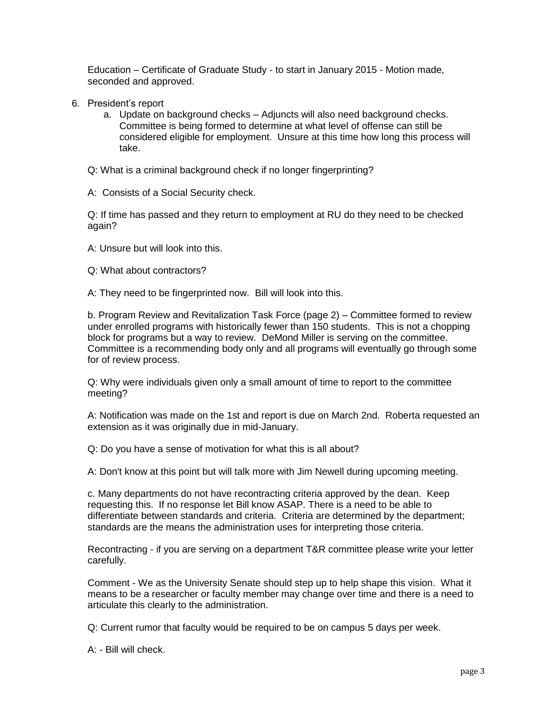Education – Certificate of Graduate Study - to start in January 2015 - Motion made, seconded and approved.

- 6. President's report
	- a. Update on background checks Adjuncts will also need background checks. Committee is being formed to determine at what level of offense can still be considered eligible for employment. Unsure at this time how long this process will take.
	- Q: What is a criminal background check if no longer fingerprinting?
	- A: Consists of a Social Security check.

Q: If time has passed and they return to employment at RU do they need to be checked again?

- A: Unsure but will look into this.
- Q: What about contractors?
- A: They need to be fingerprinted now. Bill will look into this.

b. Program Review and Revitalization Task Force (page 2) – Committee formed to review under enrolled programs with historically fewer than 150 students. This is not a chopping block for programs but a way to review. DeMond Miller is serving on the committee. Committee is a recommending body only and all programs will eventually go through some for of review process.

Q: Why were individuals given only a small amount of time to report to the committee meeting?

A: Notification was made on the 1st and report is due on March 2nd. Roberta requested an extension as it was originally due in mid-January.

Q: Do you have a sense of motivation for what this is all about?

A: Don't know at this point but will talk more with Jim Newell during upcoming meeting.

c. Many departments do not have recontracting criteria approved by the dean. Keep requesting this. If no response let Bill know ASAP. There is a need to be able to differentiate between standards and criteria. Criteria are determined by the department; standards are the means the administration uses for interpreting those criteria.

Recontracting - if you are serving on a department T&R committee please write your letter carefully.

Comment - We as the University Senate should step up to help shape this vision. What it means to be a researcher or faculty member may change over time and there is a need to articulate this clearly to the administration.

Q: Current rumor that faculty would be required to be on campus 5 days per week.

A: - Bill will check.